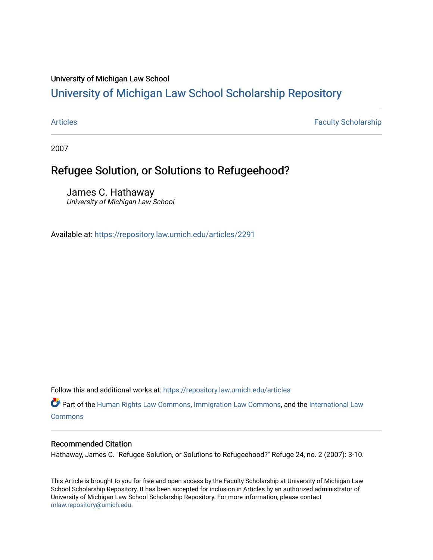### University of Michigan Law School

# [University of Michigan Law School Scholarship Repository](https://repository.law.umich.edu/)

[Articles](https://repository.law.umich.edu/articles) **Faculty Scholarship** Faculty Scholarship

2007

## Refugee Solution, or Solutions to Refugeehood?

James C. Hathaway University of Michigan Law School

Available at: <https://repository.law.umich.edu/articles/2291>

Follow this and additional works at: [https://repository.law.umich.edu/articles](https://repository.law.umich.edu/articles?utm_source=repository.law.umich.edu%2Farticles%2F2291&utm_medium=PDF&utm_campaign=PDFCoverPages) 

Part of the [Human Rights Law Commons,](http://network.bepress.com/hgg/discipline/847?utm_source=repository.law.umich.edu%2Farticles%2F2291&utm_medium=PDF&utm_campaign=PDFCoverPages) [Immigration Law Commons](http://network.bepress.com/hgg/discipline/604?utm_source=repository.law.umich.edu%2Farticles%2F2291&utm_medium=PDF&utm_campaign=PDFCoverPages), and the [International Law](http://network.bepress.com/hgg/discipline/609?utm_source=repository.law.umich.edu%2Farticles%2F2291&utm_medium=PDF&utm_campaign=PDFCoverPages)  [Commons](http://network.bepress.com/hgg/discipline/609?utm_source=repository.law.umich.edu%2Farticles%2F2291&utm_medium=PDF&utm_campaign=PDFCoverPages)

### Recommended Citation

Hathaway, James C. "Refugee Solution, or Solutions to Refugeehood?" Refuge 24, no. 2 (2007): 3-10.

This Article is brought to you for free and open access by the Faculty Scholarship at University of Michigan Law School Scholarship Repository. It has been accepted for inclusion in Articles by an authorized administrator of University of Michigan Law School Scholarship Repository. For more information, please contact [mlaw.repository@umich.edu.](mailto:mlaw.repository@umich.edu)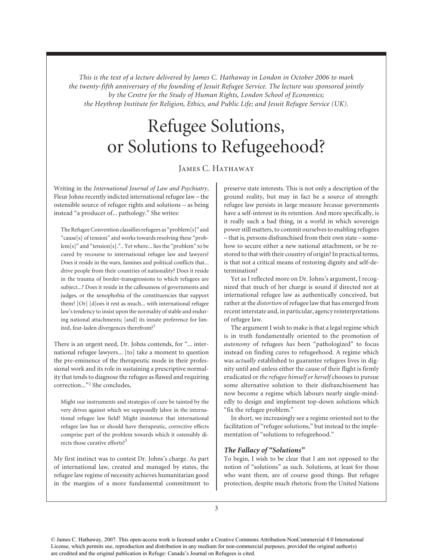*This is the text of a lecture delivered by James C. Hathaway in London in October 2006 to mark the twenty-fifth anniversary of the founding of Jesuit Refugee Service. The lecture was sponsored jointly by the Centre for the Study of Human Rights, London School of Economics; the Heythrop Institute for Religion, Ethics, and Public Life; and Jesuit Refugee Service (UK).*

# Refugee Solutions, or Solutions to Refugeehood?

### James C. Hathaway

Writing in the *International Journal of Law and Psychiatry*, Fleur Johns recently indicted international refugee law – the ostensible source of refugee rights and solutions – as being instead "a producer of... pathology." She writes:

The Refugee Convention classifies refugees as "problem[s]" and "cause[s] of tension" and works towards resolving these "problem[s]" and "tension[s].".. Yet where... lies the "problem" to be cured by recourse to international refugee law and lawyers? Does it reside in the wars, famines and political conflicts that... drive people from their countries of nationality? Does it reside in the trauma of border-transgressions to which refugees are subject...? Does it reside in the callousness of governments and judges, or the xenophobia of the constituencies that support them? [Or] [d]oes it rest as much... with international refugee law's tendency to insist upon the normality of stable and enduring national attachments; [and] its innate preference for limited, fear-laden divergences therefrom?<sup>1</sup>

There is an urgent need, Dr. Johns contends, for "... international refugee lawyers... [to] take a moment to question the pre-eminence of the therapeutic mode in their professional work and its role in sustaining a prescriptive normality that tends to diagnose the refugee as flawed and requiring correction..."2 She concludes,

Might our instruments and strategies of cure be tainted by the very drives against which we supposedly labor in the international refugee law field? Might insistence that international refugee law has or should have therapeutic, corrective effects comprise part of the problem towards which it ostensibly directs those curative efforts?<sup>3</sup>

My first instinct was to contest Dr. Johns's charge. As part of international law, created and managed by states, the refugee law regime of necessity achieves humanitarian good in the margins of a more fundamental commitment to

preserve state interests. This is not only a description of the ground reality, but may in fact be a source of strength: refugee law persists in large measure *because* governments have a self-interest in its retention. And more specifically, is it really such a bad thing, in a world in which sovereign power still matters, to commit ourselves to enabling refugees – that is, persons disfranchised from their own state – somehow to secure either a new national attachment, or be restored to that with their country of origin? In practical terms, is that not a critical means of restoring dignity and self-determination?

Yet as I reflected more on Dr. Johns's argument, I recognized that much of her charge is sound if directed not at international refugee law as authentically conceived, but rather at the *distortion* of refugee law that has emerged from recent interstate and, in particular, agency reinterpretations of refugee law.

The argument I wish to make is that a legal regime which is in truth fundamentally oriented to the promotion of *autonomy* of refugees *has* been "pathologized" to focus instead on finding cures to refugeehood. A regime which was *actually* established to guarantee refugees lives in dignity until and unless either the cause of their flight is firmly eradicated or *the refugee himself or herself* chooses to pursue some alternative solution to their disfranchisement has now become a regime which labours nearly single-mindedly to design and implement top-down solutions which "fix the refugee problem."

In short, we increasingly see a regime oriented not to the facilitation of "refugee solutions," but instead to the implementation of "solutions to refugeehood."

### *The Fallacy of "Solutions"*

To begin, I wish to be clear that I am not opposed to the notion of "solutions" as such. Solutions, at least for those who want them, are of course good things. But refugee protection, despite much rhetoric from the United Nations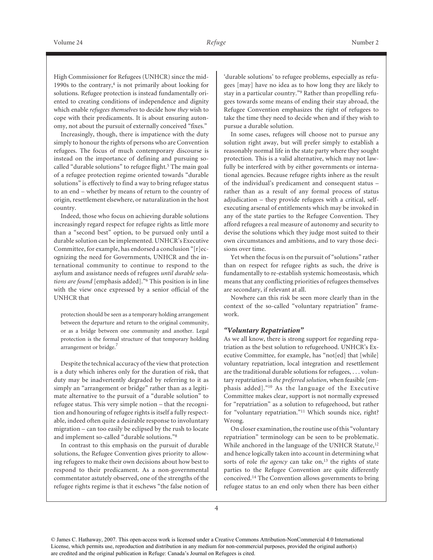High Commissioner for Refugees (UNHCR) since the mid-1990s to the contrary, $4$  is not primarily about looking for solutions. Refugee protection is instead fundamentally oriented to creating conditions of independence and dignity which enable *refugees themselves* to decide how *they* wish to cope with their predicaments. It is about ensuring autonomy, not about the pursuit of externally conceived "fixes."

Increasingly, though, there is impatience with the duty simply to honour the rights of persons who are Convention refugees. The focus of much contemporary discourse is instead on the importance of defining and pursuing socalled "durable solutions" to refugee flight.<sup>5</sup> The main goal of a refugee protection regime oriented towards "durable solutions" is effectively to find a way to bring refugee status to an end – whether by means of return to the country of origin, resettlement elsewhere, or naturalization in the host country.

Indeed, those who focus on achieving durable solutions increasingly regard respect for refugee rights as little more than a "second best" option, to be pursued only until a durable solution can be implemented. UNHCR's Executive Committee, for example, has endorsed a conclusion "[r]ecognizing the need for Governments, UNHCR and the international community to continue to respond to the asylum and assistance needs of refugees *until durable solutions are found* [emphasis added]."6 This position is in line with the view once expressed by a senior official of the UNHCR that

protection should be seen as a temporary holding arrangement between the departure and return to the original community, or as a bridge between one community and another. Legal protection is the formal structure of that temporary holding arrangement or bridge.<sup>7</sup>

Despite the technical accuracy of the view that protection is a duty which inheres only for the duration of risk, that duty may be inadvertently degraded by referring to it as simply an "arrangement or bridge" rather than as a legitimate alternative to the pursuit of a "durable solution" to refugee status. This very simple notion – that the recognition and honouring of refugee rights is itself a fully respectable, indeed often quite a desirable response to involuntary migration – can too easily be eclipsed by the rush to locate and implement so-called "durable solutions."8

In contrast to this emphasis on the pursuit of durable solutions, the Refugee Convention gives priority to allowing refugees to make their own decisions about how best to respond to their predicament. As a non-governmental commentator astutely observed, one of the strengths of the refugee rights regime is that it eschews "the false notion of

'durable solutions' to refugee problems, especially as refugees [may] have no idea as to how long they are likely to stay in a particular country."9 Rather than propelling refugees towards some means of ending their stay abroad, the Refugee Convention emphasizes the right of refugees to take the time they need to decide when and if they wish to pursue a durable solution.

In some cases, refugees will choose not to pursue any solution right away, but will prefer simply to establish a reasonably normal life in the state party where they sought protection. This is a valid alternative, which may not lawfully be interfered with by either governments or international agencies. Because refugee rights inhere as the result of the individual's predicament and consequent status – rather than as a result of any formal process of status adjudication – they provide refugees with a critical, selfexecuting arsenal of entitlements which may be invoked in any of the state parties to the Refugee Convention. They afford refugees a real measure of autonomy and security to devise the solutions which they judge most suited to their own circumstances and ambitions, and to vary those decisions over time.

Yet when the focus is on the pursuit of "solutions" rather than on respect for refugee rights as such, the drive is fundamentally to re-establish systemic homeostasis, which means that any conflicting priorities of refugees themselves are secondary, if relevant at all.

Nowhere can this risk be seen more clearly than in the context of the so-called "voluntary repatriation" framework.

### *"Voluntary Repatriation"*

As we all know, there is strong support for regarding repatriation as the best solution to refugeehood. UNHCR's Executive Committee, for example, has "not[ed] that [while] voluntary repatriation, local integration and resettlement are the traditional durable solutions for refugees, . . . voluntary repatriation is *the preferred solution*, when feasible [emphasis added]."10 As the language of the Executive Committee makes clear, support is not normally expressed for "repatriation" as a solution to refugeehood, but rather for "voluntary repatriation."11 Which sounds nice, right? Wrong.

On closer examination, the routine use of this "voluntary repatriation" terminology can be seen to be problematic. While anchored in the language of the UNHCR Statute,<sup>12</sup> and hence logically taken into account in determining what sorts of role *the agency* can take on,<sup>13</sup> the rights of state parties to the Refugee Convention are quite differently conceived.14 The Convention allows governments to bring refugee status to an end only when there has been either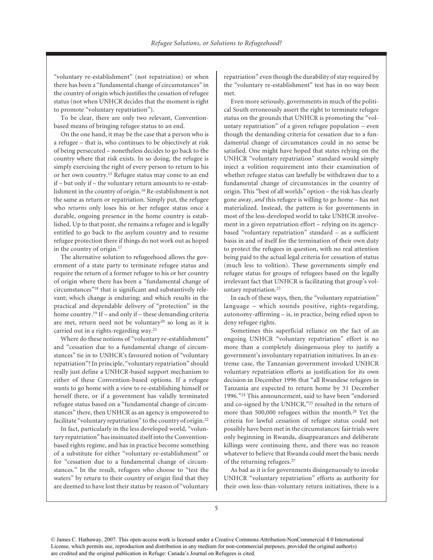"voluntary re-establishment" (not repatriation) or when there has been a "fundamental change of circumstances" in the country of origin which justifies the cessation of refugee status (not when UNHCR decides that the moment is right to promote "voluntary repatriation").

To be clear, there are only two relevant, Conventionbased means of bringing refugee status to an end.

On the one hand, it may be the case that a person who is a refugee – that is, who continues to be objectively at risk of being persecuted – nonetheless decides to go back to the country where that risk exists. In so doing, the refugee is simply exercising the right of every person to return to his or her own country.15 Refugee status may come to an end if – but only if – the voluntary return amounts to re-establishment in the country of origin.16 Re-establishment is not the same as return or repatriation. Simply put, the refugee who *returns* only loses his or her refugee status once a durable, ongoing presence in the home country is established. Up to that point, she remains a refugee and is legally entitled to go back to the asylum country and to resume refugee protection there if things do not work out as hoped in the country of origin.17

The alternative solution to refugeehood allows the government of a state party to terminate refugee status and require the return of a former refugee to his or her country of origin where there has been a "fundamental change of circumstances"18 that is significant and substantively relevant; which change is enduring; and which results in the practical and dependable delivery of "protection" in the home country.19 If – and only if – these demanding criteria are met, return need not be voluntary20 so long as it is carried out in a rights-regarding way.21

Where do these notions of "voluntary re-establishment" and "cessation due to a fundamental change of circumstances" tie in to UNHCR's favoured notion of "voluntary repatriation"? In principle, "voluntary repatriation" should really just define a UNHCR-based support mechanism to either of these Convention-based options. If a refugee wants to go home with a view to re-establishing himself or herself there, or if a government has validly terminated refugee status based on a "fundamental change of circumstances" there, then UNHCR as an agency is empowered to facilitate "voluntary repatriation" to the country of origin.22

In fact, particularly in the less developed world, "voluntary repatriation" has insinuated itself into the Conventionbased rights regime, and has in practice become something of a substitute for either "voluntary re-establishment" or for "cessation due to a fundamental change of circumstances." In the result, refugees who choose to "test the waters" by return to their country of origin find that they are deemed to have lost their status by reason of "voluntary repatriation" even though the durability of stay required by the "voluntary re-establishment" test has in no way been met.

Even more seriously, governments in much of the political South erroneously assert the right to terminate refugee status on the grounds that UNHCR is promoting the "voluntary repatriation" of a given refugee population – even though the demanding criteria for cessation due to a fundamental change of circumstances could in no sense be satisfied. One might have hoped that states relying on the UNHCR "voluntary repatriation" standard would simply inject a volition requirement into their examination of whether refugee status can lawfully be withdrawn due to a fundamental change of circumstances in the country of origin. This "best of all worlds" option – the risk has clearly gone away, *and* this refugee is willing to go home – has not materialized. Instead, the pattern is for governments in most of the less-developed world to take UNHCR involvement in a given repatriation effort – relying on its agencybased "voluntary repatriation" standard – as a sufficient basis in and of itself for the termination of their own duty to protect the refugees in question, with no real attention being paid to the actual legal criteria for cessation of status (much less to volition). These governments simply end refugee status for groups of refugees based on the legally irrelevant fact that UNHCR is facilitating that group's voluntary repatriation.23

In each of these ways, then, the "voluntary repatriation" language – which sounds positive, rights-regarding, autonomy-affirming – is, in practice, being relied upon to deny refugee rights.

Sometimes this superficial reliance on the fact of an ongoing UNHCR "voluntary repatriation" effort is no more than a completely disingenuous ploy to justify a government's involuntary repatriation initiatives. In an extreme case, the Tanzanian government invoked UNHCR voluntary repatriation efforts as justification for its own decision in December 1996 that "all Rwandese refugees in Tanzania are expected to return home by 31 December 1996."24 This announcement, said to have been "endorsed and co-signed by the UNHCR,"25 resulted in the return of more than 500,000 refugees within the month.26 Yet the criteria for lawful cessation of refugee status could not possibly have been met in the circumstances: fair trials were only beginning in Rwanda, disappearances and deliberate killings were continuing there, and there was no reason whatever to believe that Rwanda could meet the basic needs of the returning refugees.27

As bad as it is for governments disingenuously to invoke UNHCR "voluntary repatriation" efforts as authority for their own less-than-voluntary return initiatives, there is a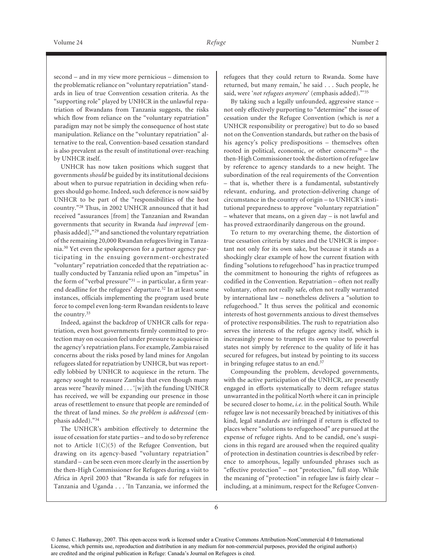second – and in my view more pernicious – dimension to the problematic reliance on "voluntary repatriation" standards in lieu of true Convention cessation criteria. As the "supporting role" played by UNHCR in the unlawful repatriation of Rwandans from Tanzania suggests, the risks which flow from reliance on the "voluntary repatriation" paradigm may not be simply the consequence of host state manipulation. Reliance on the "voluntary repatriation" alternative to the real, Convention-based cessation standard is also prevalent as the result of institutional over-reaching by UNHCR itself.

UNHCR has now taken positions which suggest that governments *should* be guided by its institutional decisions about when to pursue repatriation in deciding when refugees should go home. Indeed, such deference is now said by UNHCR to be part of the "responsibilities of the host country."28 Thus, in 2002 UNHCR announced that it had received "assurances [from] the Tanzanian and Rwandan governments that security in Rwanda *had improved* [emphasis added],"29 and sanctioned the voluntary repatriation of the remaining 20,000 Rwandan refugees living in Tanzania.30 Yet even the spokesperson for a partner agency participating in the ensuing government-orchestrated "voluntary" repatriation conceded that the repatriation actually conducted by Tanzania relied upon an "impetus" in the form of "verbal pressure" $31$  – in particular, a firm yearend deadline for the refugees' departure.<sup>32</sup> In at least some instances, officials implementing the program used brute force to compel even long-term Rwandan residents to leave the country.33

Indeed, against the backdrop of UNHCR calls for repatriation, even host governments firmly committed to protection may on occasion feel under pressure to acquiesce in the agency's repatriation plans. For example, Zambia raised concerns about the risks posed by land mines for Angolan refugees slated for repatriation by UNHCR, but was reportedly lobbied by UNHCR to acquiesce in the return. The agency sought to reassure Zambia that even though many areas were "heavily mined . . . '[w]ith the funding UNHCR has received, we will be expanding our presence in those areas of resettlement to ensure that people are reminded of the threat of land mines. *So the problem is addressed* (emphasis added)."34

The UNHCR's ambition effectively to determine the issue of cessation for state parties – and to do so by reference not to Article  $1(C)(5)$  of the Refugee Convention, but drawing on its agency-based "voluntary repatriation" standard – can be seen even more clearly in the assertion by the then-High Commissioner for Refugees during a visit to Africa in April 2003 that "Rwanda is safe for refugees in Tanzania and Uganda . . . 'In Tanzania, we informed the

refugees that they could return to Rwanda. Some have returned, but many remain,' he said . . . Such people, he said, were '*not refugees anymore*' (emphasis added)."'35

By taking such a legally unfounded, aggressive stance – not only effectively purporting to "determine" the issue of cessation under the Refugee Convention (which is *not* a UNHCR responsibility or prerogative) but to do so based not on the Convention standards, but rather on the basis of his agency's policy predispositions – themselves often rooted in political, economic, or other concerns $36$  – the then-High Commissioner took the distortion of refugee law by reference to agency standards to a new height. The subordination of the real requirements of the Convention – that is, whether there is a fundamental, substantively relevant, enduring, and protection-delivering change of circumstance in the country of origin – to UNHCR's institutional preparedness to approve "voluntary repatriation" – whatever that means, on a given day – is not lawful and has proved extraordinarily dangerous on the ground.

To return to my overarching theme, the distortion of true cessation criteria by states and the UNHCR is important not only for its own sake, but because it stands as a shockingly clear example of how the current fixation with finding "solutions to refugeehood" has in practice trumped the commitment to honouring the rights of refugeees as codified in the Convention. Repatriation – often not really voluntary, often not really safe, often not really warranted by international law – nonetheless delivers a "solution to refugeehood." It thus serves the political and economic interests of host governments anxious to divest themselves of protective responsibilities. The rush to repatriation also serves the interests of the refugee agency itself, which is increasingly prone to trumpet its own value to powerful states not simply by reference to the quality of life it has secured for refugees, but instead by pointing to its success in bringing refugee status to an end.37

Compounding the problem, developed governments, with the active participation of the UNHCR, are presently engaged in efforts systematically to deem refugee status unwarranted in the political North where it can in principle be secured closer to home, *i.e.* in the political South. While refugee law is not necessarily breached by initiatives of this kind, legal standards *are* infringed if return is effected to places where "solutions to refugeehood" are pursued at the expense of refugee rights. And to be candid, one's suspicions in this regard are aroused when the required quality of protection in destination countries is described by reference to amorphous, legally unfounded phrases such as "effective protection" – not "protection," full stop. While the meaning of "protection" in refugee law is fairly clear – including, at a minimum, respect for the Refugee Conven-

<sup>©</sup> James C. Hathaway, 2007. This open-access work is licensed under a Creative Commons Attribution-NonCommercial 4.0 International License, which permits use, reproduction and distribution in any medium for non-commercial purposes, provided the original author(s) are credited and the original publication in Refuge: Canada's Journal on Refugees is cited.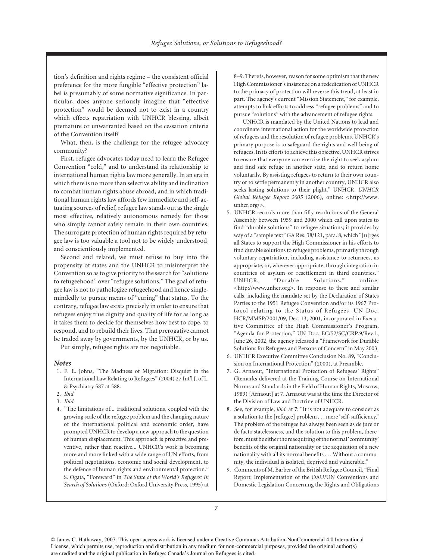tion's definition and rights regime – the consistent official preference for the more fungible "effective protection" label is presumably of some normative significance. In particular, does anyone seriously imagine that "effective protection" would be deemed not to exist in a country which effects repatriation with UNHCR blessing, albeit premature or unwarranted based on the cessation criteria of the Convention itself?

What, then, is the challenge for the refugee advocacy community?

First, refugee advocates today need to learn the Refugee Convention "cold," and to understand its relationship to international human rights law more generally. In an era in which there is no more than selective ability and inclination to combat human rights abuse abroad, and in which traditional human rights law affords few immediate and self-actuating sources of relief, refugee law stands out as the single most effective, relatively autonomous remedy for those who simply cannot safely remain in their own countries. The surrogate protection of human rights required by refugee law is too valuable a tool not to be widely understood, and conscientiously implemented.

Second and related, we must refuse to buy into the propensity of states and the UNHCR to misinterpret the Convention so as to give priority to the search for "solutions to refugeehood" over "refugee solutions." The goal of refugee law is not to pathologize refugeehood and hence singlemindedly to pursue means of "curing" that status. To the contrary, refugee law exists precisely in order to ensure that refugees enjoy true dignity and quality of life for as long as it takes them to decide for themselves how best to cope, to respond, and to rebuild their lives. That prerogative cannot be traded away by governments, by the UNHCR, or by us.

Put simply, refugee rights are not negotiable.

### *Notes*

- 1. F. E. Johns, "The Madness of Migration: Disquiet in the International Law Relating to Refugees" (2004) 27 Int'l J. of L. & Psychiatry 587 at 588.
- 2. *Ibid.*
- 3. *Ibid.*
- 4. "The limitations of... traditional solutions, coupled with the growing scale of the refugee problem and the changing nature of the international political and economic order, have prompted UNHCR to develop a new approach to the question of human displacement. This approach is proactive and preventive, rather than reactive... UNHCR's work is becoming more and more linked with a wide range of UN efforts, from political negotiations, economic and social development, to the defence of human rights and environmental protection." S. Ogata, "Foreward" in *The State of the World's Refugees: In Search of Solutions* (Oxford: Oxford University Press, 1995) at

8–9. There is, however, reason for some optimism that the new High Commissioner's insistence on a rededication of UNHCR to the primacy of protection will reverse this trend, at least in part. The agency's current "Mission Statement," for example, attempts to link efforts to address "refugee problems" and to pursue "solutions" with the advancement of refugee rights.

UNHCR is mandated by the United Nations to lead and coordinate international action for the worldwide protection of refugees and the resolution of refugee problems. UNHCR's primary purpose is to safeguard the rights and well-being of refugees. In its efforts to achieve this objective, UNHCR strives to ensure that everyone can exercise the right to seek asylum and find safe refuge in another state, and to return home voluntarily. By assisting refugees to return to their own country or to settle permanently in another country, UNHCR also seeks lasting solutions to their plight." UNHCR, *UNHCR Global Refugee Report 2005* (2006), online: <http://www. unhcr.org/>.

- 5. UNHCR records more than fifty resolutions of the General Assembly between 1959 and 2000 which call upon states to find "durable solutions" to refugee situations; it provides by way of a "sample text" GA Res. 38/121, para. 8, which "[u]rges all States to support the High Commissioner in his efforts to find durable solutions to refugee problems, primarily through voluntary repatriation, including assistance to returnees, as appropriate, or, wherever appropriate, through integration in countries of asylum or resettlement in third countries." UNHCR, "Durable Solutions," online: <http://www.unhcr.org>. In response to these and similar calls, including the mandate set by the Declaration of States Parties to the 1951 Refugee Convention and/or its 1967 Protocol relating to the Status of Refugees, UN Doc. HCR/MMSP/2001/09, Dec. 13, 2001, incorporated in Executive Committee of the High Commissioner's Program, "Agenda for Protection," UN Doc. EC/52/SC/CRP.9/Rev.1, June 26, 2002, the agency released a "Framework for Durable Solutions for Refugees and Persons of Concern" in May 2003.
- 6. UNHCR Executive Committee Conclusion No. 89, "Conclusion on International Protection" (2000), at Preamble.
- 7. G. Arnaout, "International Protection of Refugees' Rights" (Remarks delivered at the Training Course on International Norms and Standards in the Field of Human Rights, Moscow, 1989) [Arnaout] at 7. Arnaout was at the time the Director of the Division of Law and Doctrine of UNHCR.
- 8. See, for example, *ibid.* at 7: "It is not adequate to consider as a solution to the [refugee] problem . . . mere 'self-sufficiency.' The problem of the refugee has always been seen as de jure or de facto statelessness, and the solution to this problem, therefore, must be either the reacquiring of the normal 'community' benefits of the original nationality or the acquisition of a new nationality with all its normal benefits . . . Without a community, the individual is isolated, deprived and vulnerable."
- 9. Comments of M. Barber of the British Refugee Council, "Final Report: Implementation of the OAU/UN Conventions and Domestic Legislation Concerning the Rights and Obligations

<sup>©</sup> James C. Hathaway, 2007. This open-access work is licensed under a Creative Commons Attribution-NonCommercial 4.0 International License, which permits use, reproduction and distribution in any medium for non-commercial purposes, provided the original author(s) are credited and the original publication in Refuge: Canada's Journal on Refugees is cited.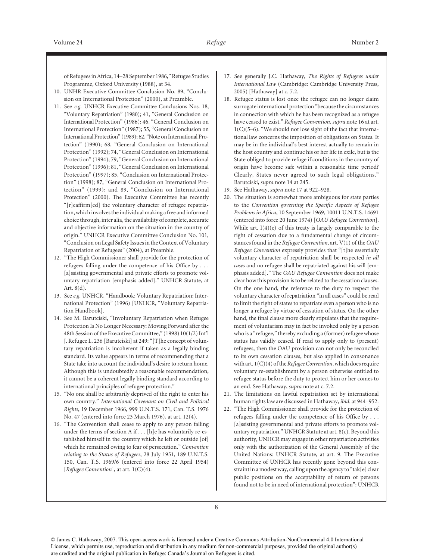of Refugees in Africa, 14–28 September 1986," Refugee Studies Programme, Oxford University (1988), at 34.

- 10. UNHR Executive Committee Conclusion No. 89, "Conclusion on International Protection" (2000), at Preamble.
- 11. See *e.g.* UNHCR Executive Committee Conclusions Nos. 18, "Voluntary Repatriation" (1980); 41, "General Conclusion on International Protection" (1986); 46, "General Conclusion on International Protection" (1987); 55, "General Conclusion on International Protection" (1989); 62, "Note on International Protection" (1990); 68, "General Conclusion on International Protection" (1992); 74, "General Conclusion on International Protection" (1994); 79, "General Conclusion on International Protection" (1996); 81, "General Conclusion on International Protection" (1997); 85, "Conclusion on International Protection" (1998); 87, "General Conclusion on International Protection" (1999); and 89, "Conclusion on International Protection" (2000). The Executive Committee has recently "[r]eaffirm[ed] the voluntary character of refugee repatriation, which involves the individual making a free and informed choice through, inter alia, the availability of complete, accurate and objective information on the situation in the country of origin." UNHCR Executive Committee Conclusion No. 101, "Conclusion on Legal Safety Issues in the Context of Voluntary Repatriation of Refugees" (2004), at Preamble.
- 12. "The High Commissioner shall provide for the protection of refugees falling under the competence of his Office by . . . [a]ssisting governmental and private efforts to promote voluntary repatriation [emphasis added]." UNHCR Statute, at Art. 8(d).
- 13. See *e.g.* UNHCR, "Handbook: Voluntary Repatriation: International Protection" (1996) [UNHCR, "Voluntary Repatriation Handbook].
- 14. See M. Barutciski, "Involuntary Repatriation when Refugee Protection Is No Longer Necessary: Moving Forward after the 48th Session of the Executive Committee," (1998) 10(1/2) Int'l J. Refugee L. 236 [Barutciski] at 249: "[T]he concept of voluntary repatriation is incoherent if taken as a legally binding standard. Its value appears in terms of recommending that a State take into account the individual's desire to return home. Although this is undoubtedly a reasonable recommendation, it cannot be a coherent legally binding standard according to international principles of refugee protection."
- 15. "No one shall be arbitrarily deprived of the right to enter his own country." *International Covenant on Civil and Political Rights*, 19 December 1966, 999 U.N.T.S. 171, Can. T.S. 1976 No. 47 (entered into force 23 March 1976), at art. 12(4).
- 16. "The Convention shall cease to apply to any person falling under the terms of section A if . . . [h]e has voluntarily re-established himself in the country which he left or outside [of] which he remained owing to fear of persecution." *Convention relating to the Status of Refugees*, 28 July 1951, 189 U.N.T.S. 150, Can. T.S. 1969/6 (entered into force 22 April 1954) [*Refugee Convention*], at art. 1(C)(4).
- 17. See generally J.C. Hathaway, *The Rights of Refugees under International Law* (Cambridge: Cambridge University Press, 2005) [Hathaway] at c. 7.2.
- 18. Refugee status is lost once the refugee can no longer claim surrogate international protection "because the circumstances in connection with which he has been recognized as a refugee have ceased to exist." *Refugee Convention*, *supra* note 16 at art. 1(C)(5–6). "We should not lose sight of the fact that international law concerns the imposition of obligations on States. It may be in the individual's best interest actually to remain in the host country and continue his or her life in exile, but is the State obliged to provide refuge if conditions in the country of origin have become safe within a reasonable time period? Clearly, States never agreed to such legal obligations." Barutciski, *supra* note 14 at 245.
- 19. See Hathaway, *supra* note 17 at 922–928.
- 20. The situation is somewhat more ambiguous for state parties to the *Convention governing the Specific Aspects of Refugee Problems in Africa*, 10 September 1969, 10011 U.N.T.S. 14691 (entered into force 20 June 1974) [*OAU Refugee Convention*]. While art.  $I(4)(e)$  of this treaty is largely comparable to the right of cessation due to a fundamental change of circumstances found in the *Refugee Convention*, art. V(1) of the *OAU Refugee Convention* expressly provides that "[t]he essentially voluntary character of repatriation shall be respected *in all cases* and no refugee shall be repatriated against his will [emphasis added]." The *OAU Refugee Convention* does not make clear how this provision is to be related to the cessation clauses. On the one hand, the reference to the duty to respect the voluntary character of repatriation "in all cases" could be read to limit the right of states to repatriate even a person who is no longer a refugee by virtue of cessation of status. On the other hand, the final clause more clearly stipulates that the requirement of voluntarism may in fact be invoked only by a person who is a "refugee," thereby excluding a (former) refugee whose status has validly ceased. If read to apply only to (present) refugees, then the OAU provision can not only be reconciled to its own cessation clauses, but also applied in consonance with art. 1(C)(4) of the*Refugee Convention*, which does require voluntary re-establishment by a person otherwise entitled to refugee status before the duty to protect him or her comes to an end. See Hathaway, *supra* note at c. 7.2.
- 21. The limitations on lawful repatriation set by international human rights law are discussed in Hathaway, *ibid.* at 944–952.
- 22. "The High Commissioner shall provide for the protection of refugees falling under the competence of his Office by . . . [a]ssisting governmental and private efforts to promote voluntary repatriation." UNHCR Statute at art. 8(c). Beyond this authority, UNHCR may engage in other repatriation activities only with the authorization of the General Assembly of the United Nations: UNHCR Statute, at art. 9. The Executive Committee of UNHCR has recently gone beyond this constraint in a modest way, calling upon the agency to "tak[e] clear public positions on the acceptability of return of persons found not to be in need of international protection": UNHCR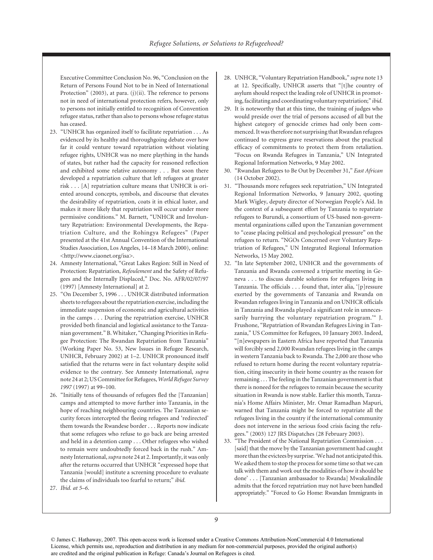Executive Committee Conclusion No. 96, "Conclusion on the Return of Persons Found Not to be in Need of International Protection" (2003), at para. (j)(ii). The reference to persons not in need of international protection refers, however, only to persons not initially entitled to recognition of Convention refugee status, rather than also to persons whose refugee status has ceased.

- 23. "UNHCR has organized itself to facilitate repatriation . . . As evidenced by its healthy and thoroughgoing debate over how far it could venture toward repatriation without violating refugee rights, UNHCR was no mere plaything in the hands of states, but rather had the capacity for reasoned reflection and exhibited some relative autonomy . . . But soon there developed a repatriation culture that left refugees at greater risk . . . [A] repatriation culture means that UNHCR is oriented around concepts, symbols, and discourse that elevates the desirability of repatriation, coats it in ethical luster, and makes it more likely that repatriation will occur under more permissive conditions." M. Barnett, "UNHCR and Involuntary Repatriation: Environmental Developments, the Repatriation Culture, and the Rohingya Refugees" (Paper presented at the 41st Annual Convention of the International Studies Association, Los Angeles, 14–18 March 2000), online: <http://www.ciaonet.org/isa>.
- 24. Amnesty International, "Great Lakes Region: Still in Need of Protection: Repatriation, *Refoulement* and the Safety of Refugees and the Internally Displaced," Doc. No. AFR/02/07/97 (1997) [Amnesty International] at 2.
- 25. "On December 5, 1996 . . . UNHCR distributed information sheets to refugees about the repatriation exercise, including the immediate suspension of economic and agricultural activities in the camps . . . During the repatriation exercise, UNHCR provided both financial and logistical assistance to the Tanzanian government." B. Whitaker, "Changing Priorities in Refugee Protection: The Rwandan Repatriation from Tanzania" (Working Paper No. 53, New Issues in Refugee Research, UNHCR, February 2002) at 1–2. UNHCR pronounced itself satisfied that the returns were in fact voluntary despite solid evidence to the contrary. See Amnesty International, *supra* note 24 at 2; US Committee for Refugees,*World Refugee Survey 1997* (1997) at 99–100.
- 26. "Initially tens of thousands of refugees fled the [Tanzanian] camps and attempted to move further into Tanzania, in the hope of reaching neighbouring countries. The Tanzanian security forces intercepted the fleeing refugees and 'redirected' them towards the Rwandese border . . . Reports now indicate that some refugees who refuse to go back are being arrested and held in a detention camp . . . Other refugees who wished to remain were undoubtedly forced back in the rush." Amnesty International,*supra* note 24 at 2. Importantly, it was only after the returns occurred that UNHCR "expressed hope that Tanzania [would] institute a screening procedure to evaluate the claims of individuals too fearful to return;" *ibid.*
- 27. *Ibid. at 5–6*.
- 28. UNHCR, "Voluntary Repatriation Handbook," *supra* note 13 at 12. Specifically, UNHCR asserts that "[t]he country of asylum should respect the leading role of UNHCR in promoting, facilitating and coordinating voluntary repatriation;" *ibid.*
- 29. It is noteworthy that at this time, the training of judges who would preside over the trial of persons accused of all but the highest category of genocide crimes had only been commenced. It was therefore not surprising that Rwandan refugees continued to express grave reservations about the practical efficacy of commitments to protect them from retaliation. "Focus on Rwanda Refugees in Tanzania," UN Integrated Regional Information Networks, 9 May 2002.
- 30. "Rwandan Refugees to Be Out by December 31," *East African* (14 October 2002).
- 31. "Thousands more refugees seek repatriation," UN Integrated Regional Information Networks, 9 January 2002, quoting Mark Wigley, deputy director of Norwegian People's Aid. In the context of a subsequent effort by Tanzania to repatriate refugees to Burundi, a consortium of US-based non-governmental organizations called upon the Tanzanian government to "cease placing political and psychological pressure" on the refugees to return. "NGOs Concerned over Voluntary Repatriation of Refugees," UN Integrated Regional Information Networks, 15 May 2002.
- 32. "In late September 2002, UNHCR and the governments of Tanzania and Rwanda convened a tripartite meeting in Geneva . . . to discuss durable solutions for refugees living in Tanzania. The officials . . . found that, inter alia, '[p]ressure exerted by the governments of Tanzania and Rwanda on Rwandan refugees living in Tanzania and on UNHCR officials in Tanzania and Rwanda played a significant role in unnecessarily hurrying the voluntary repatriation program.'" J. Frushone, "Repatriation of Rwandan Refugees Living in Tanzania," US Committee for Refugees, 10 January 2003. Indeed, "[n]ewspapers in Eastern Africa have reported that Tanzania will forcibly send 2,000 Rwandan refugees living in the camps in western Tanzania back to Rwanda. The 2,000 are those who refused to return home during the recent voluntary repatriation, citing insecurity in their home country as the reason for remaining . . . The feeling in the Tanzanian government is that there is noneed for the refugees to remain because the security situation in Rwanda is now stable. Earlier this month, Tanzania's Home Affairs Minister, Mr. Omar Ramadhan Mapuri, warned that Tanzania might be forced to repatriate all the refugees living in the country if the international community does not intervene in the serious food crisis facing the refugees." (2003) 127 JRS Dispatches (28 February 2003).
- 33. "The President of the National Repatriation Commission . . . [said] that the move by the Tanzanian government had caught more than the evictees by surprise. 'We had not anticipated this. We asked them to stop the process for some time so that we can talk with them and work out the modalities of how it should be done' . . . [Tanzanian ambassador to Rwanda] Mwakalindile admits that the forced repatriation may not have been handled appropriately." "Forced to Go Home: Rwandan Immigrants in

<sup>©</sup> James C. Hathaway, 2007. This open-access work is licensed under a Creative Commons Attribution-NonCommercial 4.0 International License, which permits use, reproduction and distribution in any medium for non-commercial purposes, provided the original author(s) are credited and the original publication in Refuge: Canada's Journal on Refugees is cited.